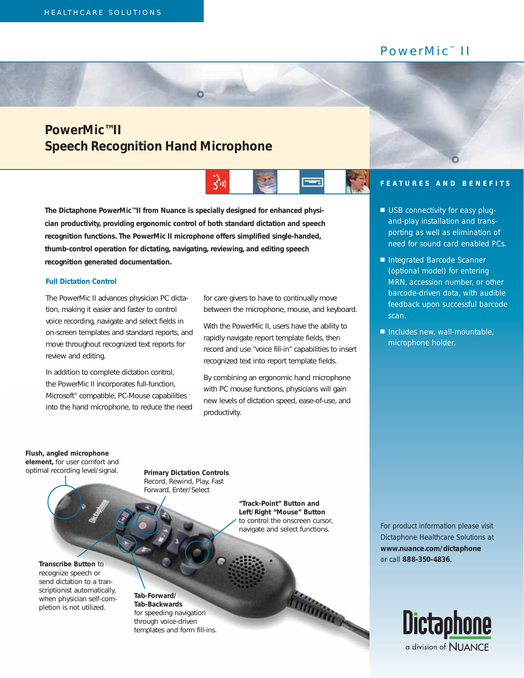## PowerMic<sup>™</sup> II

## **PowerMic™II Speech Recognition Hand Microphone**



**The Dictaphone PowerMic™II from Nuance is specially designed for enhanced physician productivity, providing ergonomic control of both standard dictation and speech recognition functions. The PowerMic II microphone offers simplified single-handed, thumb-control operation for dictating, navigating, reviewing, and editing speech recognition generated documentation.** 

O

## **Full Dictation Control**

The PowerMic II advances physician PC dictation, making it easier and faster to control voice recording, navigate and select fields in on-screen templates and standard reports, and move throughout recognized text reports for review and editing.

In addition to complete dictation control, the PowerMic II incorporates full-function, Microsoft® compatible, PC-Mouse capabilities into the hand microphone, to reduce the need for care givers to have to continually move between the microphone, mouse, and keyboard.

With the PowerMic II, users have the ability to rapidly navigate report template fields, then record and use "voice fill-in" capabilities to insert recognized text into report template fields.

By combining an ergonomic hand microphone with PC mouse functions, physicians will gain new levels of dictation speed, ease-of-use, and productivity.

## **FEATURES AND BENEFITS**

- *USB connectivity for easy plugand-play installation and transporting as well as elimination of need for sound card enabled PCs.*
- *Integrated Barcode Scanner (optional model) for entering MRN, accession number, or other barcode-driven data, with audible feedback upon successful barcode scan.*
- *Includes new, wall-mountable, microphone holder.*

**Flush, angled microphone element,** for user comfort and optimal recording level/signal.

**Primary Dictation Controls** Record, Rewind, Play, Fast Forward, Enter/Select

> **"Track-Point" Button and Left/Right "Mouse" Button** to control the onscreen cursor, navigate and select functions.

> > *Timming*

**Transcribe Button** to recognize speech or send dictation to a transcriptionist automatically, when physician self-completion is not utilized.

**Tab-Forward/ Tab-Backwards** for speeding navigation through voice-driven templates and form fill-ins. *For product information please visit Dictaphone Healthcare Solutions at www.nuance.com/dictaphone or call 888-350-4836.*